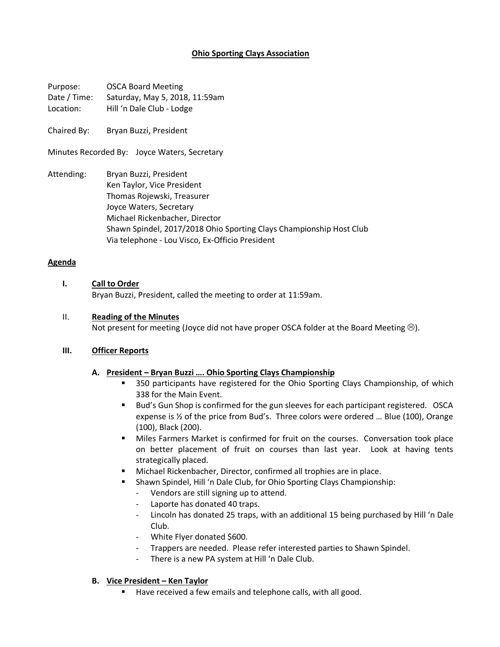# **Ohio Sporting Clays Association**

Purpose: OSCA Board Meeting Date / Time: Saturday, May 5, 2018, 11:59am Location: Hill 'n Dale Club - Lodge

Chaired By: Bryan Buzzi, President

Minutes Recorded By: Joyce Waters, Secretary

Attending: Bryan Buzzi, President Ken Taylor, Vice President Thomas Rojewski, Treasurer Joyce Waters, Secretary Michael Rickenbacher, Director Shawn Spindel, 2017/2018 Ohio Sporting Clays Championship Host Club Via telephone - Lou Visco, Ex-Officio President

#### **Agenda**

## **I. Call to Order**

Bryan Buzzi, President, called the meeting to order at 11:59am.

#### II. **Reading of the Minutes**

Not present for meeting (Joyce did not have proper OSCA folder at the Board Meeting  $\circledcirc$ ).

## **III. Officer Reports**

## **A. President – Bryan Buzzi …. Ohio Sporting Clays Championship**

- **•** 350 participants have registered for the Ohio Sporting Clays Championship, of which 338 for the Main Event.
- Bud's Gun Shop is confirmed for the gun sleeves for each participant registered. OSCA expense is ½ of the price from Bud's. Three colors were ordered … Blue (100), Orange (100), Black (200).
- **■** Miles Farmers Market is confirmed for fruit on the courses. Conversation took place on better placement of fruit on courses than last year. Look at having tents strategically placed.
- Michael Rickenbacher, Director, confirmed all trophies are in place.
- Shawn Spindel, Hill 'n Dale Club, for Ohio Sporting Clays Championship:
	- Vendors are still signing up to attend.
	- Laporte has donated 40 traps.
	- Lincoln has donated 25 traps, with an additional 15 being purchased by Hill 'n Dale Club.
	- White Flyer donated \$600.
	- Trappers are needed. Please refer interested parties to Shawn Spindel.
	- There is a new PA system at Hill 'n Dale Club.

## **B. Vice President – Ken Taylor**

■ Have received a few emails and telephone calls, with all good.